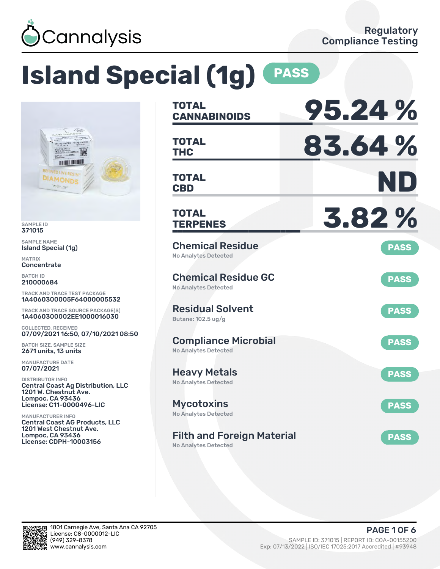

# **Island Special (1g) PASS**



SAMPLE ID 371015

SAMPLE NAME Island Special (1g)

MATRIX **Concentrate** 

BATCH ID 210000684

TRACK AND TRACE TEST PACKAGE 1A4060300005F64000005532

TRACK AND TRACE SOURCE PACKAGE(S) 1A4060300002EE1000016030

COLLECTED, RECEIVED 07/09/2021 16:50, 07/10/2021 08:50

BATCH SIZE, SAMPLE SIZE 2671 units, 13 units

MANUFACTURE DATE 07/07/2021

DISTRIBUTOR INFO Central Coast Ag Distribution, LLC 1201 W. Chestnut Ave. Lompoc, CA 93436 License: C11-0000496-LIC

MANUFACTURER INFO Central Coast AG Products, LLC 1201 West Chestnut Ave. Lompoc, CA 93436 License: CDPH-10003156

| <b>TOTAL</b><br><b>CANNABINOIDS</b>                        | 95.24%      |
|------------------------------------------------------------|-------------|
| <b>TOTAL</b><br>THC                                        | 83.64%      |
| <b>TOTAL</b><br><b>CBD</b>                                 | ND          |
| <b>TOTAL</b><br><b>TERPENES</b>                            | 3.82%       |
| <b>Chemical Residue</b><br><b>No Analytes Detected</b>     | <b>PASS</b> |
| <b>Chemical Residue GC</b><br><b>No Analytes Detected</b>  | <b>PASS</b> |
| <b>Residual Solvent</b><br>Butane: 102.5 ug/g              | <b>PASS</b> |
| <b>Compliance Microbial</b><br><b>No Analytes Detected</b> | <b>PASS</b> |
| <b>Heavy Metals</b><br><b>No Analytes Detected</b>         | <b>PASS</b> |
| <b>Mycotoxins</b><br>No Analytes Detected                  | <b>PASS</b> |
| <b>Filth and Foreign Material</b><br>No Analytes Detected  | <b>PASS</b> |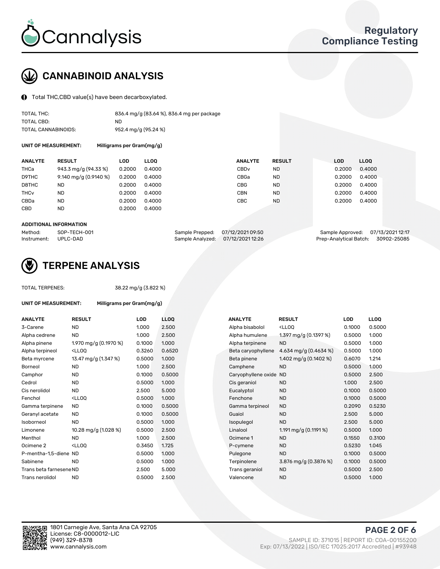

## CANNABINOID ANALYSIS

Total THC,CBD value(s) have been decarboxylated.

| TOTAL THC:          | 836.4 mg/g (83.64 %), 836.4 mg per package |
|---------------------|--------------------------------------------|
| TOTAL CBD:          | ND                                         |
| TOTAL CANNABINOIDS: | 952.4 mg/g (95.24 %)                       |

UNIT OF MEASUREMENT: Milligrams per Gram(mg/g)

| <b>ANALYTE</b>         | <b>RESULT</b>         | LOD    | <b>LLOO</b> | <b>ANALYTE</b>   | <b>RESULT</b> | <b>LOD</b> | <b>LLOO</b> |
|------------------------|-----------------------|--------|-------------|------------------|---------------|------------|-------------|
| THCa                   | 943.3 mg/g (94.33 %)  | 0.2000 | 0.4000      | CBD <sub>v</sub> | ND            | 0.2000     | 0.4000      |
| D9THC                  | 9.140 mg/g (0.9140 %) | 0.2000 | 0.4000      | CBGa             | <b>ND</b>     | 0.2000     | 0.4000      |
| D8THC                  | ND                    | 0.2000 | 0.4000      | CBG              | <b>ND</b>     | 0.2000     | 0.4000      |
| <b>THC<sub>v</sub></b> | <b>ND</b>             | 0.2000 | 0.4000      | <b>CBN</b>       | <b>ND</b>     | 0.2000     | 0.4000      |
| CBDa                   | <b>ND</b>             | 0.2000 | 0.4000      | CBC              | <b>ND</b>     | 0.2000     | 0.4000      |
| <b>CBD</b>             | <b>ND</b>             | 0.2000 | 0.4000      |                  |               |            |             |

#### ADDITIONAL INFORMATION

| Method:              | SOP-TECH-001 | Sample Prepped: 07/12/2021 09:50  | Sample Approved: 07/13/2021 12:17  |  |
|----------------------|--------------|-----------------------------------|------------------------------------|--|
| Instrument: UPLC-DAD |              | Sample Analyzed: 07/12/2021 12:26 | Prep-Analytical Batch: 30902-25085 |  |



## TERPENE ANALYSIS

UNIT OF MEASUREMENT: Milligrams per Gram(mg/g)

| TUTAL TERPENES: |  |
|-----------------|--|
|                 |  |

AL TERPENES: 38.22 mg/g (3.822 %)

| <b>ANALYTE</b>          | <b>RESULT</b>                                                                                                                             | <b>LOD</b> | <b>LLOQ</b> | <b>ANALYTE</b>         | <b>RESULT</b>                                       | <b>LOD</b> | <b>LLOO</b> |
|-------------------------|-------------------------------------------------------------------------------------------------------------------------------------------|------------|-------------|------------------------|-----------------------------------------------------|------------|-------------|
| 3-Carene                | <b>ND</b>                                                                                                                                 | 1.000      | 2.500       | Alpha bisabolol        | <lloq< td=""><td>0.1000</td><td>0.5000</td></lloq<> | 0.1000     | 0.5000      |
| Alpha cedrene           | <b>ND</b>                                                                                                                                 | 1.000      | 2.500       | Alpha humulene         | 1.397 mg/g (0.1397 %)                               | 0.5000     | 1.000       |
| Alpha pinene            | 1.970 mg/g (0.1970 %)                                                                                                                     | 0.1000     | 1.000       | Alpha terpinene        | <b>ND</b>                                           | 0.5000     | 1.000       |
| Alpha terpineol         | <lloq< td=""><td>0.3260</td><td>0.6520</td><td>Beta caryophyllene</td><td>4.634 mg/g (0.4634 %)</td><td>0.5000</td><td>1.000</td></lloq<> | 0.3260     | 0.6520      | Beta caryophyllene     | 4.634 mg/g (0.4634 %)                               | 0.5000     | 1.000       |
| Beta myrcene            | 13.47 mg/g (1.347 %)                                                                                                                      | 0.5000     | 1.000       | Beta pinene            | 1.402 mg/g $(0.1402 \%)$                            | 0.6070     | 1.214       |
| <b>Borneol</b>          | <b>ND</b>                                                                                                                                 | 1.000      | 2.500       | Camphene               | <b>ND</b>                                           | 0.5000     | 1.000       |
| Camphor                 | <b>ND</b>                                                                                                                                 | 0.1000     | 0.5000      | Caryophyllene oxide ND |                                                     | 0.5000     | 2.500       |
| Cedrol                  | <b>ND</b>                                                                                                                                 | 0.5000     | 1.000       | Cis geraniol           | <b>ND</b>                                           | 1.000      | 2.500       |
| Cis nerolidol           | <b>ND</b>                                                                                                                                 | 2.500      | 5.000       | Eucalyptol             | <b>ND</b>                                           | 0.1000     | 0.5000      |
| Fenchol                 | <ll0q< td=""><td>0.5000</td><td>1.000</td><td>Fenchone</td><td><b>ND</b></td><td>0.1000</td><td>0.5000</td></ll0q<>                       | 0.5000     | 1.000       | Fenchone               | <b>ND</b>                                           | 0.1000     | 0.5000      |
| Gamma terpinene         | <b>ND</b>                                                                                                                                 | 0.1000     | 0.5000      | Gamma terpineol        | <b>ND</b>                                           | 0.2090     | 0.5230      |
| Geranyl acetate         | <b>ND</b>                                                                                                                                 | 0.1000     | 0.5000      | Guaiol                 | <b>ND</b>                                           | 2.500      | 5.000       |
| Isoborneol              | <b>ND</b>                                                                                                                                 | 0.5000     | 1.000       | Isopulegol             | <b>ND</b>                                           | 2.500      | 5.000       |
| Limonene                | 10.28 mg/g (1.028 %)                                                                                                                      | 0.5000     | 2.500       | Linalool               | 1.191 mg/g $(0.1191\%)$                             | 0.5000     | 1.000       |
| Menthol                 | <b>ND</b>                                                                                                                                 | 1.000      | 2.500       | Ocimene 1              | <b>ND</b>                                           | 0.1550     | 0.3100      |
| Ocimene 2               | <ll0q< td=""><td>0.3450</td><td>1.725</td><td>P-cymene</td><td><b>ND</b></td><td>0.5230</td><td>1.045</td></ll0q<>                        | 0.3450     | 1.725       | P-cymene               | <b>ND</b>                                           | 0.5230     | 1.045       |
| P-mentha-1.5-diene ND   |                                                                                                                                           | 0.5000     | 1.000       | Pulegone               | <b>ND</b>                                           | 0.1000     | 0.5000      |
| Sabinene                | <b>ND</b>                                                                                                                                 | 0.5000     | 1.000       | Terpinolene            | 3.876 mg/g (0.3876 %)                               | 0.1000     | 0.5000      |
| Trans beta farnesene ND |                                                                                                                                           | 2.500      | 5.000       | Trans geraniol         | <b>ND</b>                                           | 0.5000     | 2.500       |
| Trans nerolidol         | <b>ND</b>                                                                                                                                 | 0.5000     | 2.500       | Valencene              | <b>ND</b>                                           | 0.5000     | 1.000       |

| <b>NALYTE</b>       | <b>RESULT</b>                                       | LOD    | LLOQ   |
|---------------------|-----------------------------------------------------|--------|--------|
| Alpha bisabolol     | <lloq< td=""><td>0.1000</td><td>0.5000</td></lloq<> | 0.1000 | 0.5000 |
| Alpha humulene      | 1.397 mg/g $(0.1397%)$                              | 0.5000 | 1.000  |
| Alpha terpinene     | <b>ND</b>                                           | 0.5000 | 1.000  |
| Beta caryophyllene  | 4.634 mg/g $(0.4634\%)$                             | 0.5000 | 1.000  |
| Beta pinene         | 1.402 mg/g (0.1402 %)                               | 0.6070 | 1.214  |
| Camphene            | <b>ND</b>                                           | 0.5000 | 1.000  |
| Caryophyllene oxide | <b>ND</b>                                           | 0.5000 | 2.500  |
| Cis geraniol        | <b>ND</b>                                           | 1.000  | 2.500  |
| Eucalyptol          | <b>ND</b>                                           | 0.1000 | 0.5000 |
| Fenchone            | <b>ND</b>                                           | 0.1000 | 0.5000 |
| Gamma terpineol     | <b>ND</b>                                           | 0.2090 | 0.5230 |
| Guaiol              | <b>ND</b>                                           | 2.500  | 5.000  |
| sopulegol           | <b>ND</b>                                           | 2.500  | 5.000  |
| Linalool            | 1.191 mg/g $(0.1191\%)$                             | 0.5000 | 1.000  |
| Ocimene 1           | <b>ND</b>                                           | 0.1550 | 0.3100 |
| P-cymene            | <b>ND</b>                                           | 0.5230 | 1.045  |
| Pulegone            | <b>ND</b>                                           | 0.1000 | 0.5000 |
| Terpinolene         | 3.876 mg/g (0.3876 %)                               | 0.1000 | 0.5000 |
| Trans geraniol      | <b>ND</b>                                           | 0.5000 | 2.500  |
| Valencene           | <b>ND</b>                                           | 0.5000 | 1.000  |



PAGE 2 OF 6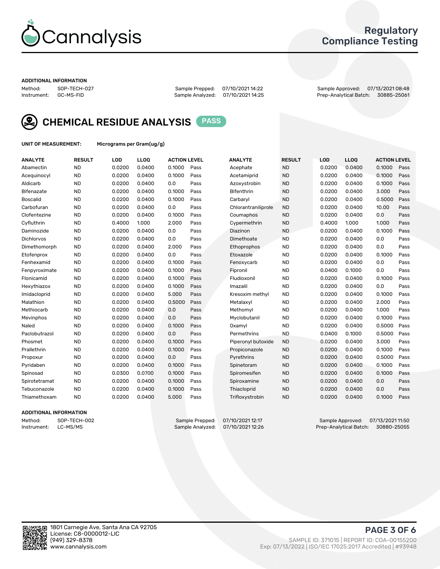

## Regulatory Compliance Testing

#### ADDITIONAL INFORMATION

Method: SOP-TECH-027 Sample Prepped: 07/10/2021 14:22 Sample Approved: 07/13/2021 08:48 Prep-Analytical Batch: 30885-25061



CHEMICAL RESIDUE ANALYSIS PASS

UNIT OF MEASUREMENT: Micrograms per Gram(ug/g)

| <b>ANALYTE</b>    | <b>RESULT</b> | LOD    | LL <sub>OO</sub> | <b>ACTION LEVEL</b> |      | <b>ANALYTE</b>      | <b>RESULT</b> | LOD    | <b>LLOQ</b> | <b>ACTION LEVEL</b> |      |
|-------------------|---------------|--------|------------------|---------------------|------|---------------------|---------------|--------|-------------|---------------------|------|
| Abamectin         | <b>ND</b>     | 0.0200 | 0.0400           | 0.1000              | Pass | Acephate            | <b>ND</b>     | 0.0200 | 0.0400      | 0.1000              | Pass |
| Acequinocyl       | <b>ND</b>     | 0.0200 | 0.0400           | 0.1000              | Pass | Acetamiprid         | <b>ND</b>     | 0.0200 | 0.0400      | 0.1000              | Pass |
| Aldicarb          | <b>ND</b>     | 0.0200 | 0.0400           | 0.0                 | Pass | Azoxystrobin        | <b>ND</b>     | 0.0200 | 0.0400      | 0.1000              | Pass |
| Bifenazate        | <b>ND</b>     | 0.0200 | 0.0400           | 0.1000              | Pass | <b>Bifenthrin</b>   | <b>ND</b>     | 0.0200 | 0.0400      | 3.000               | Pass |
| <b>Boscalid</b>   | <b>ND</b>     | 0.0200 | 0.0400           | 0.1000              | Pass | Carbaryl            | <b>ND</b>     | 0.0200 | 0.0400      | 0.5000              | Pass |
| Carbofuran        | <b>ND</b>     | 0.0200 | 0.0400           | 0.0                 | Pass | Chlorantraniliprole | <b>ND</b>     | 0.0200 | 0.0400      | 10.00               | Pass |
| Clofentezine      | <b>ND</b>     | 0.0200 | 0.0400           | 0.1000              | Pass | Coumaphos           | <b>ND</b>     | 0.0200 | 0.0400      | 0.0                 | Pass |
| Cyfluthrin        | <b>ND</b>     | 0.4000 | 1.000            | 2.000               | Pass | Cypermethrin        | <b>ND</b>     | 0.4000 | 1.000       | 1.000               | Pass |
| Daminozide        | <b>ND</b>     | 0.0200 | 0.0400           | 0.0                 | Pass | Diazinon            | <b>ND</b>     | 0.0200 | 0.0400      | 0.1000              | Pass |
| <b>Dichlorvos</b> | <b>ND</b>     | 0.0200 | 0.0400           | 0.0                 | Pass | Dimethoate          | <b>ND</b>     | 0.0200 | 0.0400      | 0.0                 | Pass |
| Dimethomorph      | <b>ND</b>     | 0.0200 | 0.0400           | 2.000               | Pass | <b>Ethoprophos</b>  | <b>ND</b>     | 0.0200 | 0.0400      | 0.0                 | Pass |
| Etofenprox        | <b>ND</b>     | 0.0200 | 0.0400           | 0.0                 | Pass | Etoxazole           | <b>ND</b>     | 0.0200 | 0.0400      | 0.1000              | Pass |
| Fenhexamid        | <b>ND</b>     | 0.0200 | 0.0400           | 0.1000              | Pass | Fenoxycarb          | <b>ND</b>     | 0.0200 | 0.0400      | 0.0                 | Pass |
| Fenpyroximate     | <b>ND</b>     | 0.0200 | 0.0400           | 0.1000              | Pass | Fipronil            | <b>ND</b>     | 0.0400 | 0.1000      | 0.0                 | Pass |
| Flonicamid        | <b>ND</b>     | 0.0200 | 0.0400           | 0.1000              | Pass | Fludioxonil         | <b>ND</b>     | 0.0200 | 0.0400      | 0.1000              | Pass |
| Hexythiazox       | <b>ND</b>     | 0.0200 | 0.0400           | 0.1000              | Pass | Imazalil            | <b>ND</b>     | 0.0200 | 0.0400      | 0.0                 | Pass |
| Imidacloprid      | <b>ND</b>     | 0.0200 | 0.0400           | 5.000               | Pass | Kresoxim methyl     | <b>ND</b>     | 0.0200 | 0.0400      | 0.1000              | Pass |
| Malathion         | <b>ND</b>     | 0.0200 | 0.0400           | 0.5000              | Pass | Metalaxyl           | <b>ND</b>     | 0.0200 | 0.0400      | 2.000               | Pass |
| Methiocarb        | <b>ND</b>     | 0.0200 | 0.0400           | 0.0                 | Pass | Methomyl            | <b>ND</b>     | 0.0200 | 0.0400      | 1.000               | Pass |
| Mevinphos         | <b>ND</b>     | 0.0200 | 0.0400           | 0.0                 | Pass | Myclobutanil        | <b>ND</b>     | 0.0200 | 0.0400      | 0.1000              | Pass |
| Naled             | <b>ND</b>     | 0.0200 | 0.0400           | 0.1000              | Pass | Oxamyl              | <b>ND</b>     | 0.0200 | 0.0400      | 0.5000              | Pass |
| Paclobutrazol     | <b>ND</b>     | 0.0200 | 0.0400           | 0.0                 | Pass | Permethrins         | <b>ND</b>     | 0.0400 | 0.1000      | 0.5000              | Pass |
| Phosmet           | <b>ND</b>     | 0.0200 | 0.0400           | 0.1000              | Pass | Piperonyl butoxide  | <b>ND</b>     | 0.0200 | 0.0400      | 3.000               | Pass |
| Prallethrin       | <b>ND</b>     | 0.0200 | 0.0400           | 0.1000              | Pass | Propiconazole       | <b>ND</b>     | 0.0200 | 0.0400      | 0.1000              | Pass |
| Propoxur          | <b>ND</b>     | 0.0200 | 0.0400           | 0.0                 | Pass | Pyrethrins          | <b>ND</b>     | 0.0200 | 0.0400      | 0.5000              | Pass |
| Pyridaben         | <b>ND</b>     | 0.0200 | 0.0400           | 0.1000              | Pass | Spinetoram          | <b>ND</b>     | 0.0200 | 0.0400      | 0.1000              | Pass |
| Spinosad          | <b>ND</b>     | 0.0300 | 0.0700           | 0.1000              | Pass | Spiromesifen        | <b>ND</b>     | 0.0200 | 0.0400      | 0.1000              | Pass |
| Spirotetramat     | <b>ND</b>     | 0.0200 | 0.0400           | 0.1000              | Pass | Spiroxamine         | <b>ND</b>     | 0.0200 | 0.0400      | 0.0                 | Pass |
| Tebuconazole      | <b>ND</b>     | 0.0200 | 0.0400           | 0.1000              | Pass | Thiacloprid         | <b>ND</b>     | 0.0200 | 0.0400      | 0.0                 | Pass |
| Thiamethoxam      | <b>ND</b>     | 0.0200 | 0.0400           | 5.000               | Pass | Trifloxystrobin     | <b>ND</b>     | 0.0200 | 0.0400      | 0.1000              | Pass |

### ADDITIONAL INFORMATION

Method: SOP-TECH-002 Sample Prepped: 07/10/2021 12:17 Sample Approved: 07/13/2021 11:50<br>Instrument: LC-MS/MS Sample Analyzed: 07/10/2021 12:26 Prep-Analytical Batch: 30880-25055 Prep-Analytical Batch: 30880-25055

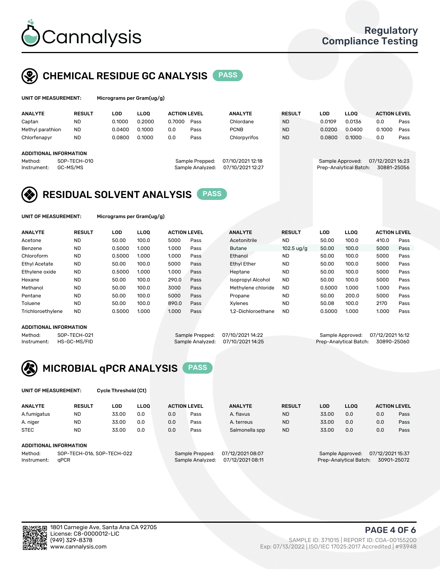

## CHEMICAL RESIDUE GC ANALYSIS PASS

ograms per Gram(ug/g)

| <b>ANALYTE</b>         | <b>RESULT</b> | LOD    | <b>LLOO</b> | <b>ACTION LEVEL</b> |                  | <b>ANALYTE</b>   | <b>RESULT</b> | LOD              | <b>LLOO</b>            |     | <b>ACTION LEVEL</b> |      |
|------------------------|---------------|--------|-------------|---------------------|------------------|------------------|---------------|------------------|------------------------|-----|---------------------|------|
| Captan                 | <b>ND</b>     | 0.1000 | 0.2000      | 0.7000              | Pass             | Chlordane        | <b>ND</b>     | 0.0109           | 0.0136                 | 0.0 |                     | Pass |
| Methyl parathion       | <b>ND</b>     | 0.0400 | 0.1000      | 0.0                 | Pass             | <b>PCNB</b>      | <b>ND</b>     | 0.0200           | 0.0400                 |     | 0.1000              | Pass |
| Chlorfenapyr           | <b>ND</b>     | 0.0800 | 0.1000      | 0.0                 | Pass             | Chlorpyrifos     | <b>ND</b>     | 0.0800           | 0.1000                 | 0.0 |                     | Pass |
| ADDITIONAL INFORMATION |               |        |             |                     |                  |                  |               |                  |                        |     |                     |      |
|                        |               |        |             |                     |                  |                  |               |                  |                        |     |                     |      |
| Method:                | SOP-TECH-010  |        |             |                     | Sample Prepped:  | 07/10/2021 12:18 |               | Sample Approved: |                        |     | 07/12/2021 16:23    |      |
| Instrument:            | GC-MS/MS      |        |             |                     | Sample Analyzed: | 07/10/2021 12:27 |               |                  | Prep-Analytical Batch: |     | 30881-25056         |      |

## RESIDUAL SOLVENT ANALYSIS PASS

UNIT OF MEASUREMENT: Micrograms per Gram(ug/g)

| <b>ANALYTE</b>       | <b>RESULT</b> | LOD    | <b>LLOO</b> | <b>ACTION LEVEL</b> |      | <b>ANALYTE</b>           | <b>RESULT</b>        | <b>LOD</b> | <b>LLOO</b> | <b>ACTION LEVEL</b> |      |
|----------------------|---------------|--------|-------------|---------------------|------|--------------------------|----------------------|------------|-------------|---------------------|------|
| Acetone              | <b>ND</b>     | 50.00  | 100.0       | 5000                | Pass | Acetonitrile             | <b>ND</b>            | 50.00      | 100.0       | 410.0               | Pass |
| Benzene              | <b>ND</b>     | 0.5000 | 1.000       | 1.000               | Pass | <b>Butane</b>            | 102.5 $\frac{10}{9}$ | 50.00      | 100.0       | 5000                | Pass |
| Chloroform           | <b>ND</b>     | 0.5000 | 1.000       | 1.000               | Pass | Ethanol                  | <b>ND</b>            | 50.00      | 100.0       | 5000                | Pass |
| <b>Ethyl Acetate</b> | <b>ND</b>     | 50.00  | 100.0       | 5000                | Pass | <b>Ethyl Ether</b>       | <b>ND</b>            | 50.00      | 100.0       | 5000                | Pass |
| Ethylene oxide       | <b>ND</b>     | 0.5000 | 1.000       | 1.000               | Pass | Heptane                  | <b>ND</b>            | 50.00      | 100.0       | 5000                | Pass |
| Hexane               | <b>ND</b>     | 50.00  | 100.0       | 290.0               | Pass | <b>Isopropyl Alcohol</b> | <b>ND</b>            | 50.00      | 100.0       | 5000                | Pass |
| Methanol             | <b>ND</b>     | 50.00  | 100.0       | 3000                | Pass | Methylene chloride       | <b>ND</b>            | 0.5000     | 1.000       | 1.000               | Pass |
| Pentane              | <b>ND</b>     | 50.00  | 100.0       | 5000                | Pass | Propane                  | <b>ND</b>            | 50.00      | 200.0       | 5000                | Pass |
| Toluene              | <b>ND</b>     | 50.00  | 100.0       | 890.0               | Pass | Xvlenes                  | <b>ND</b>            | 50.08      | 100.0       | 2170                | Pass |
| Trichloroethylene    | <b>ND</b>     | 0.5000 | 1.000       | 1.000               | Pass | 1.2-Dichloroethane       | <b>ND</b>            | 0.5000     | 1.000       | 1.000               | Pass |

#### ADDITIONAL INFORMATION

|         | ADDITIONAL INFORMATION   |                                   |                                    |  |
|---------|--------------------------|-----------------------------------|------------------------------------|--|
| Method: | SOP-TECH-021             | Sample Prepped: 07/10/2021 14:22  | Sample Approved: 07/12/2021 16:12  |  |
|         | Instrument: HS-GC-MS/FID | Sample Analyzed: 07/10/2021 14:25 | Prep-Analytical Batch: 30890-25060 |  |

# MICROBIAL qPCR ANALYSIS PASS

UNIT OF MEASUREMENT: Cycle Threshold (Ct)

| <b>ANALYTE</b> | <b>RESULT</b>                 | LOD   | <b>LLOO</b> | <b>ACTION LEVEL</b> |                 | <b>ANALYTE</b>   | <b>RESULT</b> | LOD   | <b>LLOO</b>      | <b>ACTION LEVEL</b> |                  |  |
|----------------|-------------------------------|-------|-------------|---------------------|-----------------|------------------|---------------|-------|------------------|---------------------|------------------|--|
| A.fumigatus    | <b>ND</b>                     | 33.00 | 0.0         | 0.0                 | Pass            | A. flavus        | <b>ND</b>     | 33.00 | 0.0              | 0.0                 | Pass             |  |
| A. niger       | <b>ND</b>                     | 33.00 | 0.0         | 0.0                 | Pass            | A. terreus       | <b>ND</b>     | 33.00 | 0.0              | 0.0                 | Pass             |  |
| <b>STEC</b>    | <b>ND</b>                     | 33.00 | 0.0         | 0.0                 | Pass            | Salmonella spp   | <b>ND</b>     | 33.00 | 0.0              | 0.0                 | Pass             |  |
|                | <b>ADDITIONAL INFORMATION</b> |       |             |                     |                 |                  |               |       |                  |                     |                  |  |
| Method:        | SOP-TECH-016, SOP-TECH-022    |       |             |                     | Sample Prepped: | 07/12/2021 08:07 |               |       | Sample Approved: |                     | 07/12/2021 15:37 |  |

Instrument: qPCR Sample Analyzed: 07/12/2021 08:11 Prep-Analytical Batch: 30901-25072

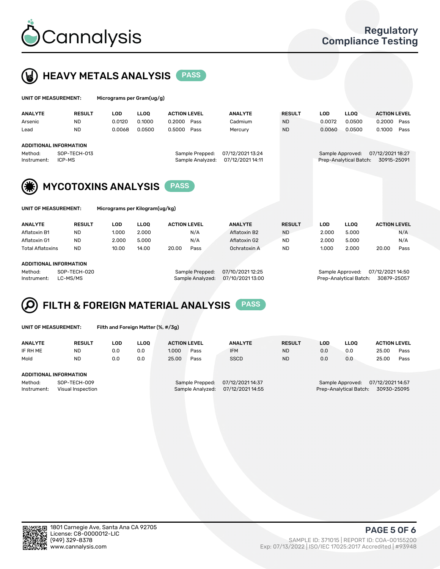



|                         |  | UNIT OF MEASUREMENT:          | Micrograms per Gram(ug/g)      |                  |                     |                                      |               |            |                        |                     |
|-------------------------|--|-------------------------------|--------------------------------|------------------|---------------------|--------------------------------------|---------------|------------|------------------------|---------------------|
| <b>ANALYTE</b>          |  | <b>RESULT</b>                 | <b>LOD</b>                     | <b>LLOO</b>      | <b>ACTION LEVEL</b> | <b>ANALYTE</b>                       | <b>RESULT</b> | <b>LOD</b> | <b>LLOQ</b>            | <b>ACTION LEVEL</b> |
| Arsenic                 |  | <b>ND</b>                     | 0.0120                         | 0.1000           | 0.2000<br>Pass      | Cadmium                              | <b>ND</b>     | 0.0072     | 0.0500                 | 0.2000<br>Pass      |
| Lead                    |  | <b>ND</b>                     | 0.0068                         | 0.0500           | 0.5000<br>Pass      | Mercury                              | <b>ND</b>     | 0.0060     | 0.0500                 | 0.1000<br>Pass      |
|                         |  | <b>ADDITIONAL INFORMATION</b> |                                |                  |                     |                                      |               |            |                        |                     |
| SOP-TECH-013<br>Method: |  |                               | Sample Prepped:                | 07/12/2021 13:24 |                     | 07/12/2021 18:27<br>Sample Approved: |               |            |                        |                     |
| Instrument:             |  | ICP-MS                        |                                |                  | Sample Analyzed:    | 07/12/2021 14:11                     |               |            | Prep-Analytical Batch: | 30915-25091         |
|                         |  |                               | <b>MYCOTOXINS ANALYSIS</b>     |                  | <b>PASS</b>         |                                      |               |            |                        |                     |
|                         |  | UNIT OF MEASUREMENT:          | Micrograms per Kilogram(ug/kg) |                  |                     |                                      |               |            |                        |                     |
| <b>ANALYTE</b>          |  | <b>RESULT</b>                 | <b>LOD</b>                     | <b>LLOO</b>      | <b>ACTION LEVEL</b> | <b>ANALYTE</b>                       | <b>RESULT</b> | <b>LOD</b> | <b>LLOQ</b>            | <b>ACTION LEVEL</b> |
| Aflatoxin B1            |  | ND                            | 1.000                          | 2.000            | N/A                 | Aflatoxin B2                         | <b>ND</b>     | 2.000      | 5.000                  | N/A                 |

Aflatoxin G1 ND 2.000 5.000 N/A Aflatoxin G2 ND 2.000 5.000 N/A Total Aflatoxins ND 10.00 14.00 20.00 Pass Ochratoxin A ND 1.000 2.000 20.00 Pass

#### ADDITIONAL INFORMATION

Method: SOP-TECH-020 Sample Prepped: 07/10/2021 12:25 Sample Approved: 07/12/2021 14:50 Instrument: LC-MS/MS Sample Analyzed: 07/10/2021 13:00 Prep-Analytical Batch: 30879-25057

# FILTH & FOREIGN MATERIAL ANALYSIS PASS

UNIT OF MEASUREMENT: Filth and Foreign Matter (%, #/3g)

| <b>ANALYTE</b>                                              | <b>RESULT</b> | LOD | <b>LLOO</b> | <b>ACTION LEVEL</b>                                                         |      | <b>ANALYTE</b> | <b>RESULT</b> | LOD                                                                           | LLOO | <b>ACTION LEVEL</b> |      |  |
|-------------------------------------------------------------|---------------|-----|-------------|-----------------------------------------------------------------------------|------|----------------|---------------|-------------------------------------------------------------------------------|------|---------------------|------|--|
| IF RH ME                                                    | <b>ND</b>     | 0.0 | 0.0         | 1.000                                                                       | Pass | <b>IFM</b>     | <b>ND</b>     | 0.0                                                                           | 0.0  | 25.00               | Pass |  |
| Mold                                                        | <b>ND</b>     | 0.0 | 0.0         | 25.00                                                                       | Pass | <b>SSCD</b>    | <b>ND</b>     | 0.0                                                                           | 0.0  | 25.00               | Pass |  |
| <b>ADDITIONAL INFORMATION</b>                               |               |     |             |                                                                             |      |                |               |                                                                               |      |                     |      |  |
| Method:<br>SOP-TECH-009<br>Instrument:<br>Visual Inspection |               |     |             | 07/12/2021 14:37<br>Sample Prepped:<br>07/12/2021 14:55<br>Sample Analyzed: |      |                |               | 07/12/2021 14:57<br>Sample Approved:<br>Prep-Analytical Batch:<br>30930-25095 |      |                     |      |  |



PAGE 5 OF 6